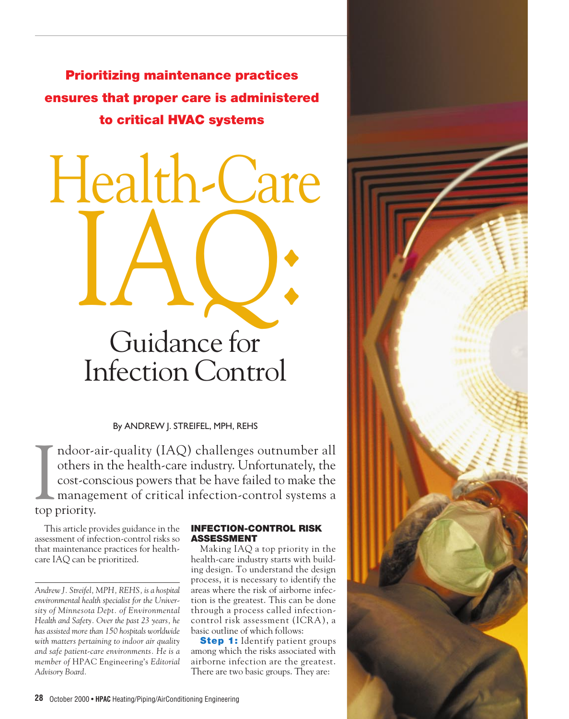**Prioritizing maintenance practices ensures that proper care is administered to critical HVAC systems**

Health-Care

# IAQ: Guidance for Infection Control

By ANDREW J. STREIFEL, MPH, REHS

Indoor-<br>
others i<br>
cost-com<br>
manage<br>
top priority. ndoor-air-quality (IAQ) challenges outnumber all others in the health-care industry. Unfortunately, the cost-conscious powers that be have failed to make the management of critical infection-control systems a

This article provides guidance in the assessment of infection-control risks so that maintenance practices for healthcare IAQ can be prioritized.

### **INFECTION-CONTROL RISK ASSESSMENT**

Making IAQ a top priority in the health-care industry starts with building design. To understand the design process, it is necessary to identify the areas where the risk of airborne infection is the greatest. This can be done through a process called infectioncontrol risk assessment (ICRA), a basic outline of which follows:

**Step 1:** Identify patient groups among which the risks associated with airborne infection are the greatest. There are two basic groups. They are:



*Andrew J. Streifel, MPH, REHS, is a hospital environmental health specialist for the University of Minnesota Dept. of Environmental Health and Safety. Over the past 23 years, he has assisted more than 150 hospitals worldwide with matters pertaining to indoor air quality and safe patient-care environments. He is a member of* HPAC Engineering's *Editorial Advisory Board.*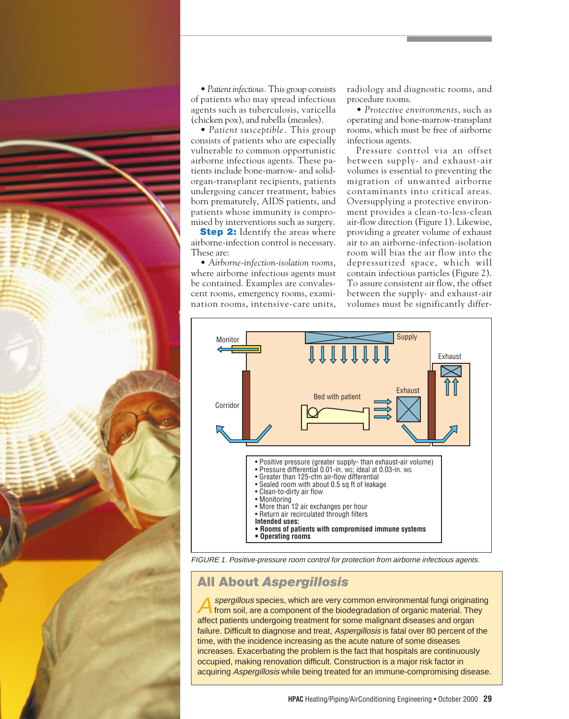

• *Patient infectious.*This group consists of patients who may spread infectious agents such as tuberculosis, varicella (chicken pox), and rubella (measles).

• *Patient susceptible.* This group consists of patients who are especially vulnerable to common opportunistic airborne infectious agents. These patients include bone-marrow- and solidorgan-transplant recipients, patients undergoing cancer treatment, babies born prematurely, AIDS patients, and patients whose immunity is compromised by interventions such as surgery.

**Step 2:** Identify the areas where airborne-infection control is necessary. These are:

• *Airborne-infection-isolation rooms*, where airborne infectious agents must be contained. Examples are convalescent rooms, emergency rooms, examination rooms, intensive-care units,

radiology and diagnostic rooms, and procedure rooms.

• *Protective environments*, such as operating and bone-marrow-transplant rooms, which must be free of airborne infectious agents.

Pressure control via an offset between supply- and exhaust-air volumes is essential to preventing the migration of unwanted airborne contaminants into critical areas. Oversupplying a protective environment provides a clean-to-less-clean air-flow direction (Figure 1). Likewise, providing a greater volume of exhaust air to an airborne-infection-isolation room will bias the air flow into the depressurized space, which will contain infectious particles (Figure 2). To assure consistent air flow, the offset between the supply- and exhaust-air volumes must be significantly differ-



FIGURE 1. Positive-pressure room control for protection from airborne infectious agents.

# **All About** *Aspergillosis*

spergillous species, which are very common environmental fungi originating from soil, are a component of the biodegradation of organic material. They affect patients undergoing treatment for some malignant diseases and organ failure. Difficult to diagnose and treat, Aspergillosis is fatal over 80 percent of the time, with the incidence increasing as the acute nature of some diseases increases. Exacerbating the problem is the fact that hospitals are continuously occupied, making renovation difficult. Construction is a major risk factor in acquiring Aspergillosis while being treated for an immune-compromising disease.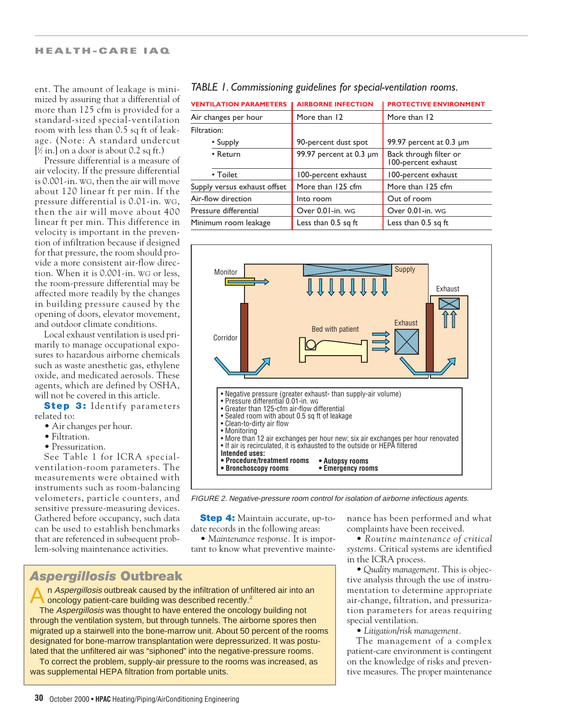### **HEALTH-CARE IAQ**

ent. The amount of leakage is minimized by assuring that a differential of more than 125 cfm is provided for a standard-sized special-ventilation room with less than 0.5 sq ft of leakage. (Note: A standard undercut  $[\frac{1}{2}$  in.] on a door is about 0.2 sq ft.)

Pressure differential is a measure of air velocity. If the pressure differential is 0.001-in. WG, then the air will move about 120 linear ft per min. If the pressure differential is 0.01-in. WG, then the air will move about 400 linear ft per min. This difference in velocity is important in the prevention of infiltration because if designed for that pressure, the room should provide a more consistent air-flow direction. When it is 0.001-in. WG or less, the room-pressure differential may be affected more readily by the changes in building pressure caused by the opening of doors, elevator movement, and outdoor climate conditions.

Local exhaust ventilation is used primarily to manage occupational exposures to hazardous airborne chemicals such as waste anesthetic gas, ethylene oxide, and medicated aerosols. These agents, which are defined by OSHA, will not be covered in this article.

**Step 3:** Identify parameters related to:

- Air changes per hour.
- Filtration.
- Pressurization.

See Table 1 for ICRA specialventilation-room parameters. The measurements were obtained with instruments such as room-balancing velometers, particle counters, and sensitive pressure-measuring devices. Gathered before occupancy, such data can be used to establish benchmarks that are referenced in subsequent problem-solving maintenance activities.

| <b>VENTILATION PARAMETERS</b> | <b>AIRBORNE INFECTION</b> | <b>PROTECTIVE ENVIRONMENT</b>                 |  |
|-------------------------------|---------------------------|-----------------------------------------------|--|
| Air changes per hour          | More than 12              | More than 12                                  |  |
| Filtration:                   |                           |                                               |  |
| • Supply                      | 90-percent dust spot      | 99.97 percent at 0.3 µm                       |  |
| • Return                      | 99.97 percent at 0.3 µm   | Back through filter or<br>100-percent exhaust |  |
| • Toilet                      | 100-percent exhaust       | 100-percent exhaust                           |  |
| Supply versus exhaust offset  | More than 125 cfm         | More than 125 cfm                             |  |
| Air-flow direction            | Into room                 | Out of room                                   |  |
| Pressure differential         | Over 0.01-in. WG          | Over 0.01-in. WG                              |  |
| Minimum room leakage          | Less than 0.5 sq ft       | Less than 0.5 sq ft                           |  |

### *TABLE 1. Commissioning guidelines for special-ventilation rooms.*



FIGURE 2. Negative-pressure room control for isolation of airborne infectious agents.

**Step 4:** Maintain accurate, up-todate records in the following areas:

• *Maintenance response.* It is important to know what preventive mainte-

*Aspergillosis* **Outbreak**

An Aspergillosis outbreak caused by the infiltration of unfiltered air into an oncology patient-care building was described recently.<sup>2</sup>

The Aspergillosis was thought to have entered the oncology building not through the ventilation system, but through tunnels. The airborne spores then migrated up a stairwell into the bone-marrow unit. About 50 percent of the rooms designated for bone-marrow transplantation were depressurized. It was postulated that the unfiltered air was "siphoned" into the negative-pressure rooms.

To correct the problem, supply-air pressure to the rooms was increased, as was supplemental HEPA filtration from portable units.

nance has been performed and what complaints have been received.

• *Routine maintenance of critical systems.* Critical systems are identified in the ICRA process.

• *Quality management.* This is objective analysis through the use of instrumentation to determine appropriate air-change, filtration, and pressurization parameters for areas requiring special ventilation.

• *Litigation/risk management.*

The management of a complex patient-care environment is contingent on the knowledge of risks and preventive measures. The proper maintenance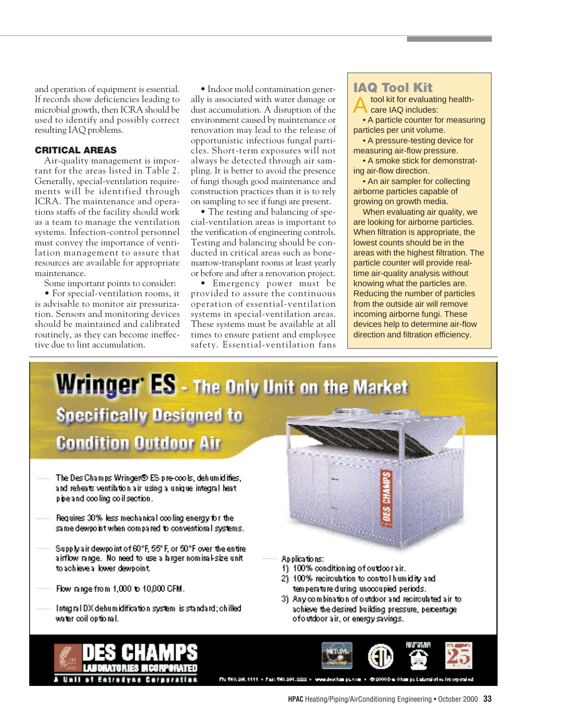and operation of equipment is essential. If records show deficiencies leading to microbial growth, then ICRA should be used to identify and possibly correct resulting IAQ problems.

### **CRITICAL AREAS**

Air-quality management is important for the areas listed in Table 2. Generally, special-ventilation requirements will be identified through ICRA. The maintenance and operations staffs of the facility should work as a team to manage the ventilation systems. Infection-control personnel must convey the importance of ventilation management to assure that resources are available for appropriate maintenance.

Some important points to consider:

• For special-ventilation rooms, it is advisable to monitor air pressurization. Sensors and monitoring devices should be maintained and calibrated routinely, as they can become ineffective due to lint accumulation.

• Indoor mold contamination generally is associated with water damage or dust accumulation. A disruption of the environment caused by maintenance or renovation may lead to the release of opportunistic infectious fungal particles. Short-term exposures will not always be detected through air sampling. It is better to avoid the presence of fungi though good maintenance and construction practices than it is to rely on sampling to see if fungi are present.

• The testing and balancing of special-ventilation areas is important to the verification of engineering controls. Testing and balancing should be conducted in critical areas such as bonemarrow-transplant rooms at least yearly or before and after a renovation project.

• Emergency power must be provided to assure the continuous operation of essential-ventilation systems in special-ventilation areas. These systems must be available at all times to ensure patient and employee safety. Essential-ventilation fans

# **IAQ Tool Kit**

tool kit for evaluating healthcare IAQ includes: • A particle counter for measuring particles per unit volume.

• A pressure-testing device for measuring air-flow pressure.

• A smoke stick for demonstrating air-flow direction.

• An air sampler for collecting airborne particles capable of growing on growth media.

When evaluating air quality, we are looking for airborne particles. When filtration is appropriate, the lowest counts should be in the areas with the highest filtration. The particle counter will provide realtime air-quality analysis without knowing what the particles are. Reducing the number of particles from the outside air will remove incoming airborne fungi. These devices help to determine air-flow direction and filtration efficiency.

# **Wringer' ES - The Only Unit on the Market**

**Specifically Designed to Condition Outdoor Air** 

- The Des Champs Wringer® ES pre-cools, dehumidifies, and reheats ventilation air using a unique integral heat pipe and cooling coll section.
- Requires 30% less mechanical cooling energy for the same dewpo intiwhen compared to conventional systems.
- Supply air dewpoint of 60°F, 55°F, or 50°F over the entire. airflow range. No need to use a larger nominal-size unit. to achieve a lower dewpoint.
- Flow range from 1,000 to 10,000 CFM.
- Integral DX dehumidification system is standard; chilled water coil optional.

Applications:

- 1) 100% conditioning of outdoor air.
- 2) 100% recirculation to control humidity and temperature during unoccupied periods.
- 3) Any combination of outdoor and recirculated air to achieve the desired building pressure, percentage ofoutdoor air, or energy savings.



Fig 540, 201.1111 + Fag: 540, 201.222 + www.deschange.com + @20000 + 0hamge Laboral of +s incorporated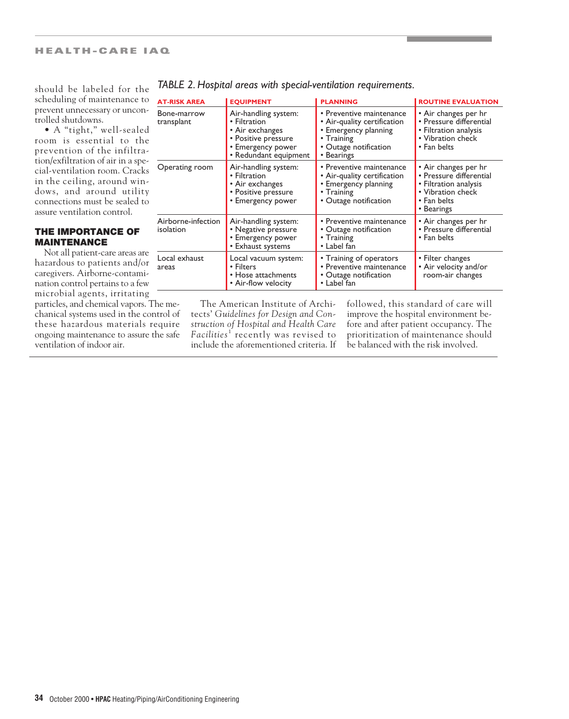should be labeled for the scheduling of maintenance to prevent unnecessary or uncontrolled shutdowns.

• A "tight," well-sealed room is essential to the prevention of the infiltration/exfiltration of air in a special-ventilation room. Cracks in the ceiling, around windows, and around utility connections must be sealed to assure ventilation control.

### **THE IMPORTANCE OF MAINTENANCE**

Not all patient-care areas are hazardous to patients and/or caregivers. Airborne-contamination control pertains to a few microbial agents, irritating particles, and chemical vapors. The mechanical systems used in the control of these hazardous materials require ongoing maintenance to assure the safe ventilation of indoor air.

| <b>AT-RISK AREA</b>             | <b>EQUIPMENT</b>                                                                                                             | <b>PLANNING</b>                                                                                                                      | <b>ROUTINE EVALUATION</b>                                                                                                  |
|---------------------------------|------------------------------------------------------------------------------------------------------------------------------|--------------------------------------------------------------------------------------------------------------------------------------|----------------------------------------------------------------------------------------------------------------------------|
| Bone-marrow<br>transplant       | Air-handling system:<br>• Filtration<br>• Air exchanges<br>• Positive pressure<br>• Emergency power<br>• Redundant equipment | • Preventive maintenance<br>• Air-quality certification<br>• Emergency planning<br>• Training<br>• Outage notification<br>• Bearings | • Air changes per hr<br>• Pressure differential<br>• Filtration analysis<br>• Vibration check<br>• Fan belts               |
| Operating room                  | Air-handling system:<br>• Filtration<br>• Air exchanges<br>• Positive pressure<br>• Emergency power                          | • Preventive maintenance<br>• Air-quality certification<br>• Emergency planning<br>• Training<br>• Outage notification               | • Air changes per hr<br>• Pressure differential<br>• Filtration analysis<br>• Vibration check<br>• Fan belts<br>• Bearings |
| Airborne-infection<br>isolation | Air-handling system:<br>• Negative pressure<br>• Emergency power<br>• Exhaust systems                                        | • Preventive maintenance<br>• Outage notification<br>• Training<br>• Label fan                                                       | • Air changes per hr<br>• Pressure differential<br>• Fan belts                                                             |
| Local exhaust<br>areas          | Local vacuum system:<br>• Filters<br>$\bullet$ Hose attachments<br>• Air-flow velocity                                       | • Training of operators<br>• Preventive maintenance<br>• Outage notification<br>• Label fan                                          | • Filter changes<br>• Air velocity and/or<br>room-air changes                                                              |

### *TABLE 2. Hospital areas with special-ventilation requirements.*

The American Institute of Architects' *Guidelines for Design and Construction of Hospital and Health Care*  Facilities<sup>1</sup> recently was revised to include the aforementioned criteria. If followed, this standard of care will improve the hospital environment before and after patient occupancy. The prioritization of maintenance should be balanced with the risk involved.